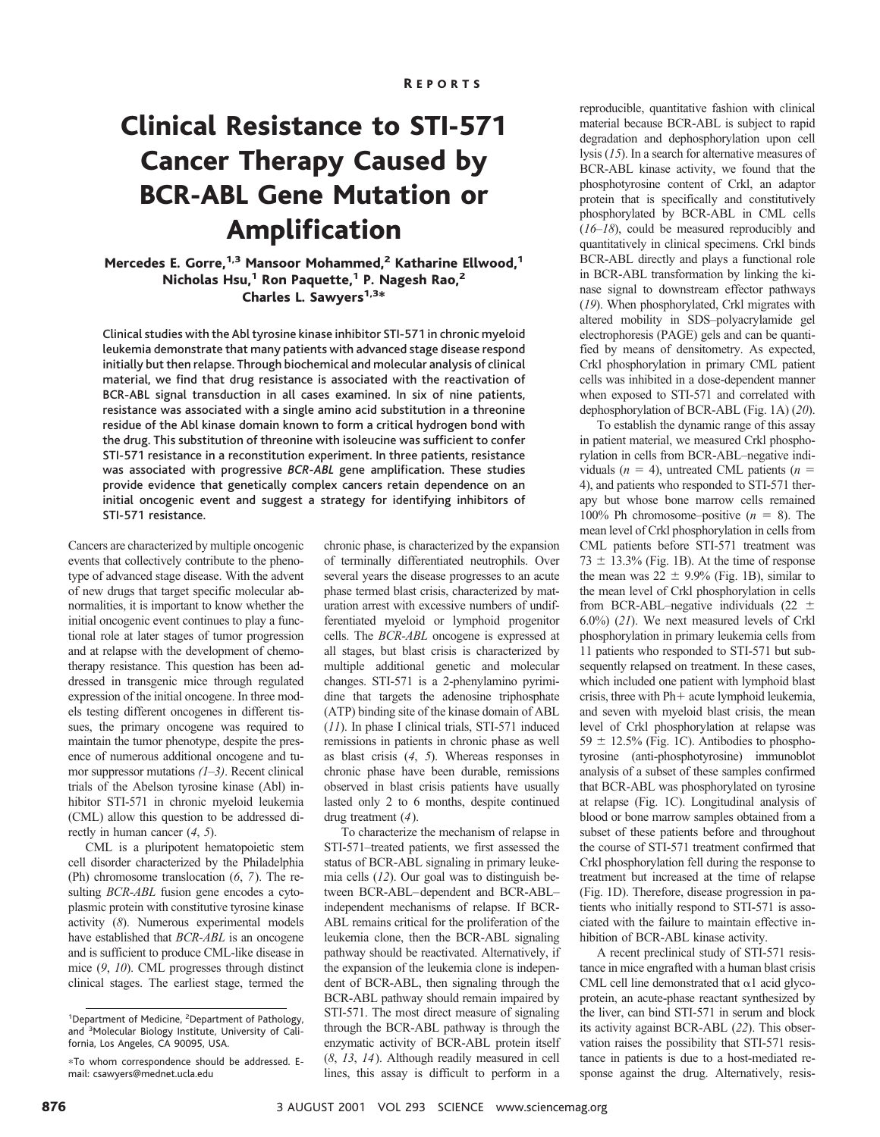# Clinical Resistance to STI-571 Cancer Therapy Caused by BCR-ABL Gene Mutation or Amplification

Mercedes E. Gorre,<sup>1,3</sup> Mansoor Mohammed,<sup>2</sup> Katharine Ellwood,<sup>1</sup> Nicholas Hsu, $1$  Ron Paquette, $1$  P. Nagesh Rao, $2$ Charles L. Sawyers<sup>1,3\*</sup>

Clinical studies with the Abl tyrosine kinase inhibitor STI-571 in chronic myeloid leukemia demonstrate that many patients with advanced stage disease respond initially but then relapse. Through biochemical and molecular analysis of clinical material, we find that drug resistance is associated with the reactivation of BCR-ABL signal transduction in all cases examined. In six of nine patients, resistance was associated with a single amino acid substitution in a threonine residue of the Abl kinase domain known to form a critical hydrogen bond with the drug. This substitution of threonine with isoleucine was sufficient to confer STI-571 resistance in a reconstitution experiment. In three patients, resistance was associated with progressive *BCR-ABL* gene amplification. These studies provide evidence that genetically complex cancers retain dependence on an initial oncogenic event and suggest a strategy for identifying inhibitors of STI-571 resistance.

Cancers are characterized by multiple oncogenic events that collectively contribute to the phenotype of advanced stage disease. With the advent of new drugs that target specific molecular abnormalities, it is important to know whether the initial oncogenic event continues to play a functional role at later stages of tumor progression and at relapse with the development of chemotherapy resistance. This question has been addressed in transgenic mice through regulated expression of the initial oncogene. In three models testing different oncogenes in different tissues, the primary oncogene was required to maintain the tumor phenotype, despite the presence of numerous additional oncogene and tumor suppressor mutations *(1*–*3)*. Recent clinical trials of the Abelson tyrosine kinase (Abl) inhibitor STI-571 in chronic myeloid leukemia (CML) allow this question to be addressed directly in human cancer (*4*, *5*).

CML is a pluripotent hematopoietic stem cell disorder characterized by the Philadelphia (Ph) chromosome translocation (*6*, *7*). The resulting *BCR-ABL* fusion gene encodes a cytoplasmic protein with constitutive tyrosine kinase activity (*8*). Numerous experimental models have established that *BCR-ABL* is an oncogene and is sufficient to produce CML-like disease in mice (*9*, *10*). CML progresses through distinct clinical stages. The earliest stage, termed the

chronic phase, is characterized by the expansion of terminally differentiated neutrophils. Over several years the disease progresses to an acute phase termed blast crisis, characterized by maturation arrest with excessive numbers of undifferentiated myeloid or lymphoid progenitor cells. The *BCR-ABL* oncogene is expressed at all stages, but blast crisis is characterized by multiple additional genetic and molecular changes. STI-571 is a 2-phenylamino pyrimidine that targets the adenosine triphosphate (ATP) binding site of the kinase domain of ABL (*11*). In phase I clinical trials, STI-571 induced remissions in patients in chronic phase as well as blast crisis (*4*, *5*). Whereas responses in chronic phase have been durable, remissions observed in blast crisis patients have usually lasted only 2 to 6 months, despite continued drug treatment (*4*).

To characterize the mechanism of relapse in STI-571–treated patients, we first assessed the status of BCR-ABL signaling in primary leukemia cells (*12*). Our goal was to distinguish between BCR-ABL–dependent and BCR-ABL– independent mechanisms of relapse. If BCR-ABL remains critical for the proliferation of the leukemia clone, then the BCR-ABL signaling pathway should be reactivated. Alternatively, if the expansion of the leukemia clone is independent of BCR-ABL, then signaling through the BCR-ABL pathway should remain impaired by STI-571. The most direct measure of signaling through the BCR-ABL pathway is through the enzymatic activity of BCR-ABL protein itself (*8*, *13*, *14*). Although readily measured in cell lines, this assay is difficult to perform in a

reproducible, quantitative fashion with clinical material because BCR-ABL is subject to rapid degradation and dephosphorylation upon cell lysis (*15*). In a search for alternative measures of BCR-ABL kinase activity, we found that the phosphotyrosine content of Crkl, an adaptor protein that is specifically and constitutively phosphorylated by BCR-ABL in CML cells (*16*–*18*), could be measured reproducibly and quantitatively in clinical specimens. Crkl binds BCR-ABL directly and plays a functional role in BCR-ABL transformation by linking the kinase signal to downstream effector pathways (*19*). When phosphorylated, Crkl migrates with altered mobility in SDS–polyacrylamide gel electrophoresis (PAGE) gels and can be quantified by means of densitometry. As expected, Crkl phosphorylation in primary CML patient cells was inhibited in a dose-dependent manner when exposed to STI-571 and correlated with dephosphorylation of BCR-ABL (Fig. 1A) (*20*).

To establish the dynamic range of this assay in patient material, we measured Crkl phosphorylation in cells from BCR-ABL–negative individuals ( $n = 4$ ), untreated CML patients ( $n =$ 4), and patients who responded to STI-571 therapy but whose bone marrow cells remained 100% Ph chromosome–positive  $(n = 8)$ . The mean level of Crkl phosphorylation in cells from CML patients before STI-571 treatment was  $73 \pm 13.3\%$  (Fig. 1B). At the time of response the mean was  $22 \pm 9.9\%$  (Fig. 1B), similar to the mean level of Crkl phosphorylation in cells from BCR-ABL–negative individuals (22  $\pm$ 6.0%) (*21*). We next measured levels of Crkl phosphorylation in primary leukemia cells from 11 patients who responded to STI-571 but subsequently relapsed on treatment. In these cases, which included one patient with lymphoid blast crisis, three with  $Ph+$  acute lymphoid leukemia, and seven with myeloid blast crisis, the mean level of Crkl phosphorylation at relapse was  $59 \pm 12.5\%$  (Fig. 1C). Antibodies to phosphotyrosine (anti-phosphotyrosine) immunoblot analysis of a subset of these samples confirmed that BCR-ABL was phosphorylated on tyrosine at relapse (Fig. 1C). Longitudinal analysis of blood or bone marrow samples obtained from a subset of these patients before and throughout the course of STI-571 treatment confirmed that Crkl phosphorylation fell during the response to treatment but increased at the time of relapse (Fig. 1D). Therefore, disease progression in patients who initially respond to STI-571 is associated with the failure to maintain effective inhibition of BCR-ABL kinase activity.

A recent preclinical study of STI-571 resistance in mice engrafted with a human blast crisis CML cell line demonstrated that  $\alpha$ 1 acid glycoprotein, an acute-phase reactant synthesized by the liver, can bind STI-571 in serum and block its activity against BCR-ABL (*22*). This observation raises the possibility that STI-571 resistance in patients is due to a host-mediated response against the drug. Alternatively, resis-

<sup>&</sup>lt;sup>1</sup>Department of Medicine, <sup>2</sup>Department of Pathology, and <sup>3</sup>Molecular Biology Institute, University of California, Los Angeles, CA 90095, USA.

<sup>\*</sup>To whom correspondence should be addressed. Email: csawyers@mednet.ucla.edu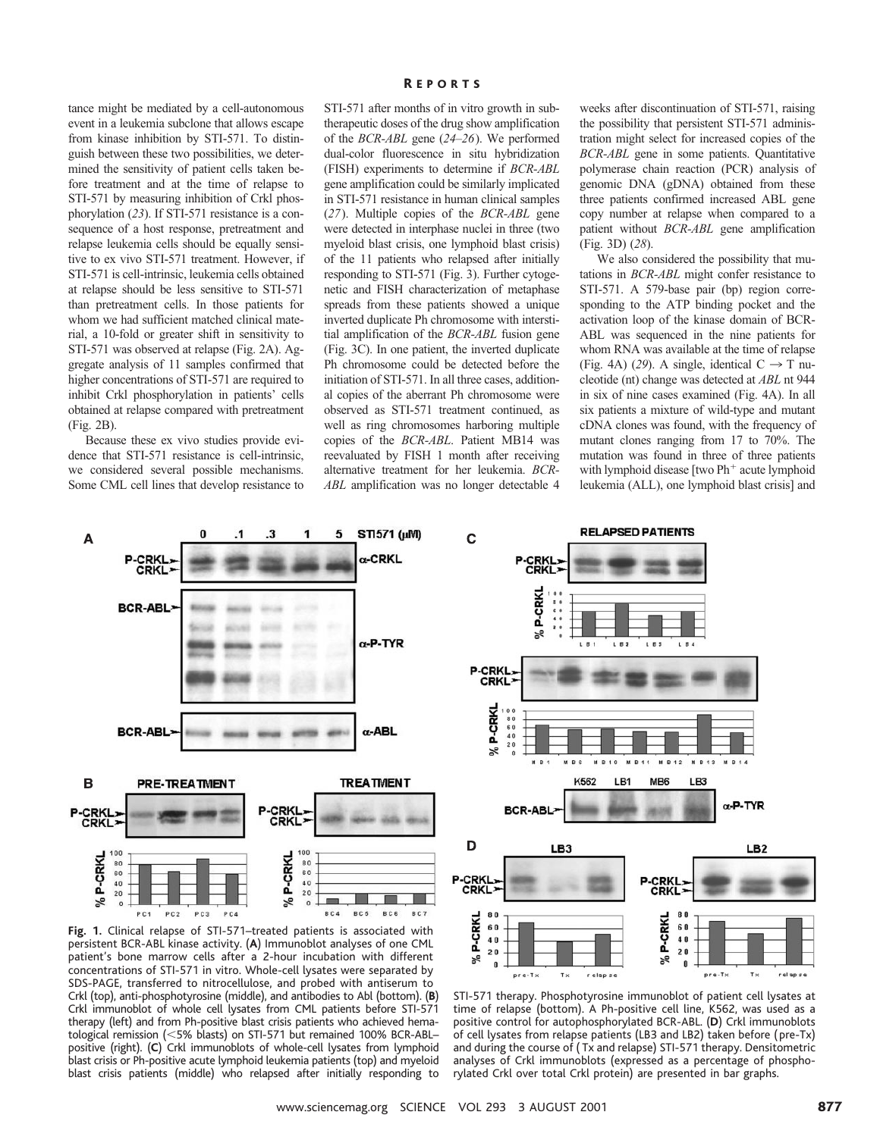tance might be mediated by a cell-autonomous event in a leukemia subclone that allows escape from kinase inhibition by STI-571. To distinguish between these two possibilities, we determined the sensitivity of patient cells taken before treatment and at the time of relapse to STI-571 by measuring inhibition of Crkl phosphorylation (*23*). If STI-571 resistance is a consequence of a host response, pretreatment and relapse leukemia cells should be equally sensitive to ex vivo STI-571 treatment. However, if STI-571 is cell-intrinsic, leukemia cells obtained at relapse should be less sensitive to STI-571 than pretreatment cells. In those patients for whom we had sufficient matched clinical material, a 10-fold or greater shift in sensitivity to STI-571 was observed at relapse (Fig. 2A). Aggregate analysis of 11 samples confirmed that higher concentrations of STI-571 are required to inhibit Crkl phosphorylation in patients' cells obtained at relapse compared with pretreatment (Fig. 2B).

Because these ex vivo studies provide evidence that STI-571 resistance is cell-intrinsic, we considered several possible mechanisms. Some CML cell lines that develop resistance to

### R EPORTS

STI-571 after months of in vitro growth in subtherapeutic doses of the drug show amplification of the *BCR-ABL* gene (*24*–*26*). We performed dual-color fluorescence in situ hybridization (FISH) experiments to determine if *BCR-ABL* gene amplification could be similarly implicated in STI-571 resistance in human clinical samples (*27*). Multiple copies of the *BCR-ABL* gene were detected in interphase nuclei in three (two myeloid blast crisis, one lymphoid blast crisis) of the 11 patients who relapsed after initially responding to STI-571 (Fig. 3). Further cytogenetic and FISH characterization of metaphase spreads from these patients showed a unique inverted duplicate Ph chromosome with interstitial amplification of the *BCR-ABL* fusion gene (Fig. 3C). In one patient, the inverted duplicate Ph chromosome could be detected before the initiation of STI-571. In all three cases, additional copies of the aberrant Ph chromosome were observed as STI-571 treatment continued, as well as ring chromosomes harboring multiple copies of the *BCR-ABL*. Patient MB14 was reevaluated by FISH 1 month after receiving alternative treatment for her leukemia. *BCR-ABL* amplification was no longer detectable 4

weeks after discontinuation of STI-571, raising the possibility that persistent STI-571 administration might select for increased copies of the *BCR-ABL* gene in some patients. Quantitative polymerase chain reaction (PCR) analysis of genomic DNA (gDNA) obtained from these three patients confirmed increased ABL gene copy number at relapse when compared to a patient without *BCR-ABL* gene amplification (Fig. 3D) (*28*).

We also considered the possibility that mutations in *BCR-ABL* might confer resistance to STI-571. A 579-base pair (bp) region corresponding to the ATP binding pocket and the activation loop of the kinase domain of BCR-ABL was sequenced in the nine patients for whom RNA was available at the time of relapse (Fig. 4A) (29). A single, identical  $C \rightarrow T$  nucleotide (nt) change was detected at *ABL* nt 944 in six of nine cases examined (Fig. 4A). In all six patients a mixture of wild-type and mutant cDNA clones was found, with the frequency of mutant clones ranging from 17 to 70%. The mutation was found in three of three patients with lymphoid disease [two  $Ph$ <sup>+</sup> acute lymphoid leukemia (ALL), one lymphoid blast crisis] and



**Fig. 1.** Clinical relapse of STI-571–treated patients is associated with persistent BCR-ABL kinase activity. (**A**) Immunoblot analyses of one CML patient's bone marrow cells after a 2-hour incubation with different concentrations of STI-571 in vitro. Whole-cell lysates were separated by SDS-PAGE, transferred to nitrocellulose, and probed with antiserum to Crkl (top), anti-phosphotyrosine (middle), and antibodies to Abl (bottom). (**B**) Crkl immunoblot of whole cell lysates from CML patients before STI-571 therapy (left) and from Ph-positive blast crisis patients who achieved hematological remission (<5% blasts) on STI-571 but remained 100% BCR-ABL– positive (right). (**C**) Crkl immunoblots of whole-cell lysates from lymphoid blast crisis or Ph-positive acute lymphoid leukemia patients (top) and myeloid blast crisis patients (middle) who relapsed after initially responding to



STI-571 therapy. Phosphotyrosine immunoblot of patient cell lysates at time of relapse (bottom). A Ph-positive cell line, K562, was used as a positive control for autophosphorylated BCR-ABL. (**D**) Crkl immunoblots of cell lysates from relapse patients (LB3 and LB2) taken before ( pre-Tx) and during the course of ( Tx and relapse) STI-571 therapy. Densitometric analyses of Crkl immunoblots (expressed as a percentage of phosphorylated Crkl over total Crkl protein) are presented in bar graphs.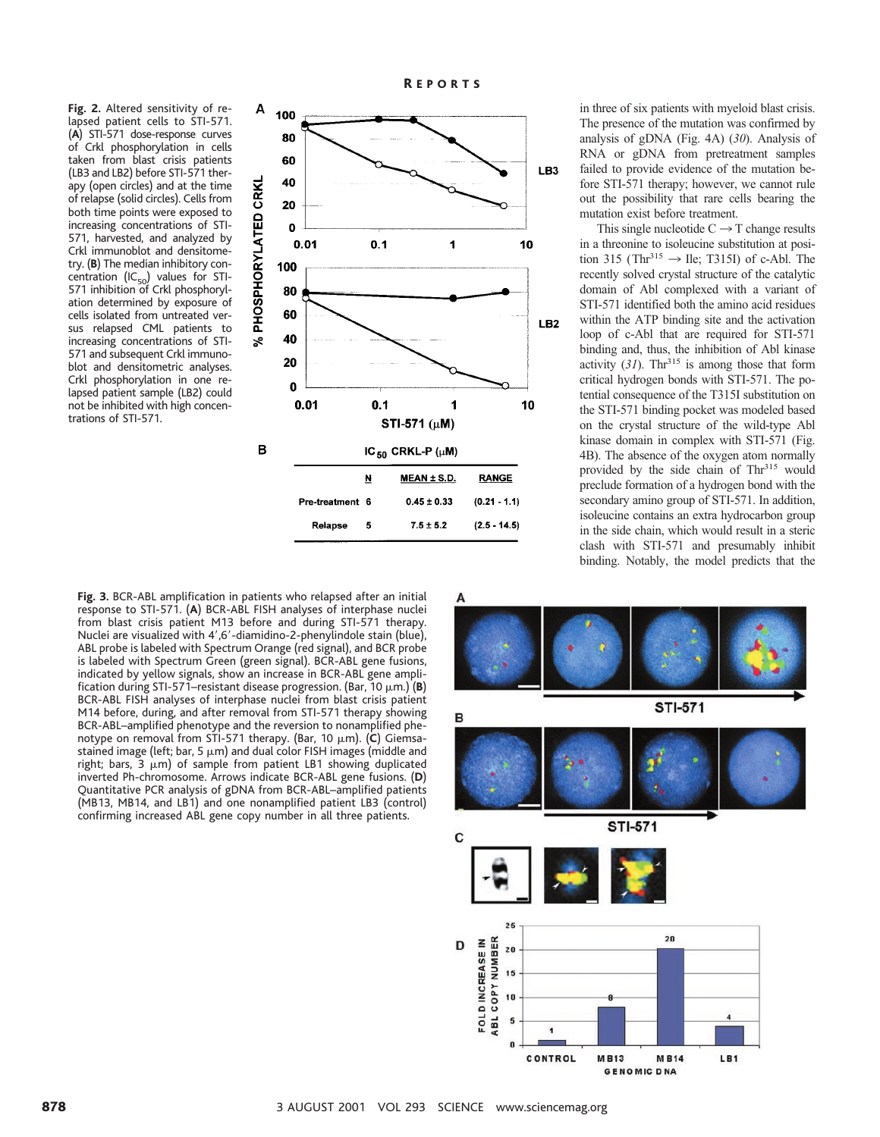**Fig. 2.** Altered sensitivity of relapsed patient cells to STI-571. (**A**) STI-571 dose-response curves of Crkl phosphorylation in cells taken from blast crisis patients (LB3 and LB2) before STI-571 therapy (open circles) and at the time of relapse (solid circles). Cells from both time points were exposed to increasing concentrations of STI-571, harvested, and analyzed by Crkl immunoblot and densitometry. (**B**) The median inhibitory concentration (IC<sub>50</sub>) values for STI-571 inhibition of Crkl phosphorylation determined by exposure of cells isolated from untreated versus relapsed CML patients to increasing concentrations of STI-571 and subsequent Crkl immunoblot and densitometric analyses. Crkl phosphorylation in one relapsed patient sample (LB2) could not be inhibited with high concentrations of STI-571.



in three of six patients with myeloid blast crisis. The presence of the mutation was confirmed by analysis of gDNA (Fig. 4A) (*30*). Analysis of RNA or gDNA from pretreatment samples failed to provide evidence of the mutation before STI-571 therapy; however, we cannot rule out the possibility that rare cells bearing the mutation exist before treatment.

This single nucleotide  $C \rightarrow T$  change results in a threonine to isoleucine substitution at position 315 (Thr<sup>315</sup>  $\rightarrow$  Ile; T315I) of c-Abl. The recently solved crystal structure of the catalytic domain of Abl complexed with a variant of STI-571 identified both the amino acid residues within the ATP binding site and the activation loop of c-Abl that are required for STI-571 binding and, thus, the inhibition of Abl kinase activity  $(31)$ . Thr<sup>315</sup> is among those that form critical hydrogen bonds with STI-571. The potential consequence of the T315I substitution on the STI-571 binding pocket was modeled based on the crystal structure of the wild-type Abl kinase domain in complex with STI-571 (Fig. 4B). The absence of the oxygen atom normally provided by the side chain of Thr<sup>315</sup> would preclude formation of a hydrogen bond with the secondary amino group of STI-571. In addition, isoleucine contains an extra hydrocarbon group in the side chain, which would result in a steric clash with STI-571 and presumably inhibit binding. Notably, the model predicts that the

**Fig. 3.** BCR-ABL amplification in patients who relapsed after an initial response to STI-571. (**A**) BCR-ABL FISH analyses of interphase nuclei from blast crisis patient M13 before and during STI-571 therapy. Nuclei are visualized with 4',6'-diamidino-2-phenylindole stain (blue), ABL probe is labeled with Spectrum Orange (red signal), and BCR probe is labeled with Spectrum Green (green signal). BCR-ABL gene fusions, indicated by yellow signals, show an increase in BCR-ABL gene amplification during STI-571-resistant disease progression. (Bar, 10 μm.) (B) BCR-ABL FISH analyses of interphase nuclei from blast crisis patient M14 before, during, and after removal from STI-571 therapy showing BCR-ABL–amplified phenotype and the reversion to nonamplified phenotype on removal from STI-571 therapy. (Bar, 10 μm). (C) Giemsastained image (left; bar, 5  $\mu$ m) and dual color FISH images (middle and right; bars,  $3 \mu m$ ) of sample from patient LB1 showing duplicated inverted Ph-chromosome. Arrows indicate BCR-ABL gene fusions. (**D**) Quantitative PCR analysis of gDNA from BCR-ABL–amplified patients (MB13, MB14, and LB1) and one nonamplified patient LB3 (control) confirming increased ABL gene copy number in all three patients.

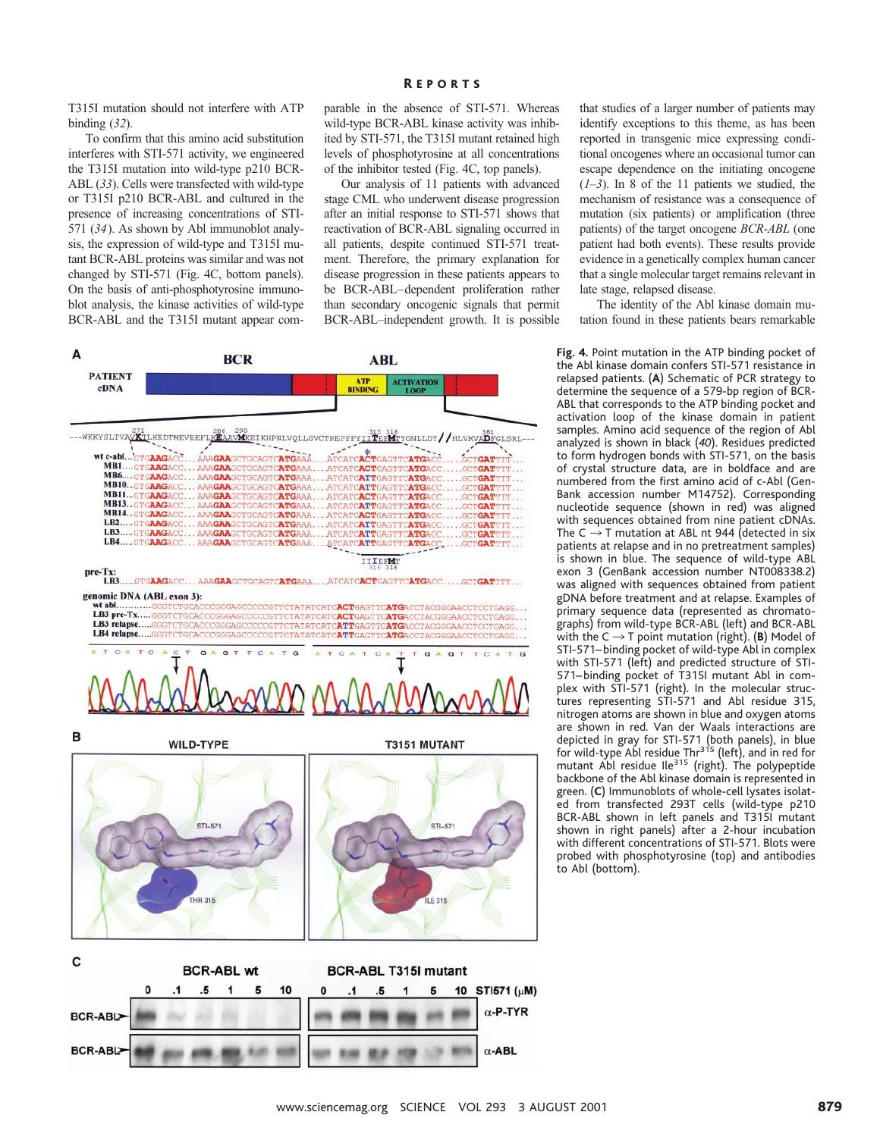#### R EPORTS

T315I mutation should not interfere with ATP binding (*32*).

To confirm that this amino acid substitution interferes with STI-571 activity, we engineered the T315I mutation into wild-type p210 BCR-ABL (*33*). Cells were transfected with wild-type or T315I p210 BCR-ABL and cultured in the presence of increasing concentrations of STI-571 (*34*). As shown by Abl immunoblot analysis, the expression of wild-type and T315I mutant BCR-ABL proteins was similar and was not changed by STI-571 (Fig. 4C, bottom panels). On the basis of anti-phosphotyrosine immunoblot analysis, the kinase activities of wild-type BCR-ABL and the T315I mutant appear comparable in the absence of STI-571. Whereas wild-type BCR-ABL kinase activity was inhibited by STI-571, the T315I mutant retained high levels of phosphotyrosine at all concentrations of the inhibitor tested (Fig. 4C, top panels).

Our analysis of 11 patients with advanced stage CML who underwent disease progression after an initial response to STI-571 shows that reactivation of BCR-ABL signaling occurred in all patients, despite continued STI-571 treatment. Therefore, the primary explanation for disease progression in these patients appears to be BCR-ABL–dependent proliferation rather than secondary oncogenic signals that permit BCR-ABL–independent growth. It is possible



that studies of a larger number of patients may identify exceptions to this theme, as has been reported in transgenic mice expressing conditional oncogenes where an occasional tumor can escape dependence on the initiating oncogene  $(1-3)$ . In 8 of the 11 patients we studied, the mechanism of resistance was a consequence of mutation (six patients) or amplification (three patients) of the target oncogene *BCR-ABL* (one patient had both events). These results provide evidence in a genetically complex human cancer that a single molecular target remains relevant in late stage, relapsed disease.

The identity of the Abl kinase domain mutation found in these patients bears remarkable

**Fig. 4.** Point mutation in the ATP binding pocket of the Abl kinase domain confers STI-571 resistance in relapsed patients. (**A**) Schematic of PCR strategy to determine the sequence of a 579-bp region of BCR-ABL that corresponds to the ATP binding pocket and activation loop of the kinase domain in patient samples. Amino acid sequence of the region of Abl analyzed is shown in black (*40*). Residues predicted to form hydrogen bonds with STI-571, on the basis of crystal structure data, are in boldface and are numbered from the first amino acid of c-Abl (Gen-Bank accession number M14752). Corresponding nucleotide sequence (shown in red) was aligned with sequences obtained from nine patient cDNAs. The  $C \rightarrow T$  mutation at ABL nt 944 (detected in six patients at relapse and in no pretreatment samples) is shown in blue. The sequence of wild-type ABL exon 3 (GenBank accession number NT008338.2) was aligned with sequences obtained from patient gDNA before treatment and at relapse. Examples of primary sequence data (represented as chromatographs) from wild-type BCR-ABL (left) and BCR-ABL with the  $C \rightarrow T$  point mutation (right). (**B**) Model of STI-571– binding pocket of wild-type Abl in complex with STI-571 (left) and predicted structure of STI-571– binding pocket of T315I mutant Abl in complex with STI-571 (right). In the molecular structures representing STI-571 and Abl residue 315, nitrogen atoms are shown in blue and oxygen atoms are shown in red. Van der Waals interactions are depicted in gray for STI-571 (both panels), in blue<br>for wild-type Abl residue Thr<sup>315</sup> (left), and in red for mutant Abl residue Ile<sup>315</sup> (right). The polypeptide backbone of the Abl kinase domain is represented in green. (**C**) Immunoblots of whole-cell lysates isolated from transfected 293T cells (wild-type p210 BCR-ABL shown in left panels and T315I mutant shown in right panels) after a 2-hour incubation with different concentrations of STI-571. Blots were probed with phosphotyrosine (top) and antibodies to Abl (bottom).